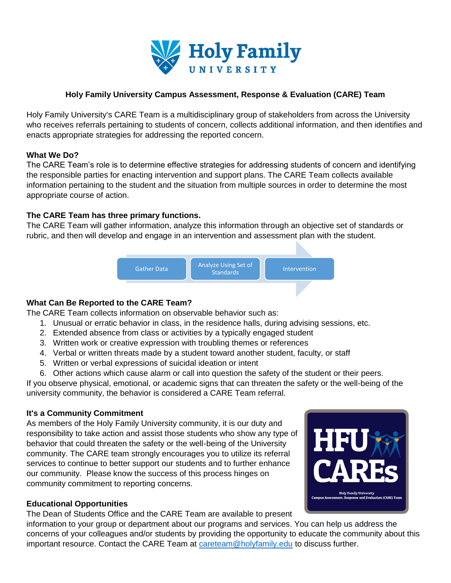

## **Holy Family University Campus Assessment, Response & Evaluation (CARE) Team**

Holy Family University's CARE Team is a multidisciplinary group of stakeholders from across the University who receives referrals pertaining to students of concern, collects additional information, and then identifies and enacts appropriate strategies for addressing the reported concern.

### **What We Do?**

The CARE Team's role is to determine effective strategies for addressing students of concern and identifying the responsible parties for enacting intervention and support plans. The CARE Team collects available information pertaining to the student and the situation from multiple sources in order to determine the most appropriate course of action.

#### **The CARE Team has three primary functions.**

The CARE Team will gather information, analyze this information through an objective set of standards or rubric, and then will develop and engage in an intervention and assessment plan with the student.



### **What Can Be Reported to the CARE Team?**

The CARE Team collects information on observable behavior such as:

- 1. Unusual or erratic behavior in class, in the residence halls, during advising sessions, etc.
- 2. Extended absence from class or activities by a typically engaged student
- 3. Written work or creative expression with troubling themes or references
- 4. Verbal or written threats made by a student toward another student, faculty, or staff
- 5. Written or verbal expressions of suicidal ideation or intent
- 6. Other actions which cause alarm or call into question the safety of the student or their peers.

If you observe physical, emotional, or academic signs that can threaten the safety or the well-being of the university community, the behavior is considered a CARE Team referral.

### **It's a Community Commitment**

As members of the Holy Family University community, it is our duty and responsibility to take action and assist those students who show any type of behavior that could threaten the safety or the well-being of the University community. The CARE team strongly encourages you to utilize its referral services to continue to better support our students and to further enhance our community. Please know the success of this process hinges on community commitment to reporting concerns.

### **Educational Opportunities**

The Dean of Students Office and the CARE Team are available to present

information to your group or department about our programs and services. You can help us address the concerns of your colleagues and/or students by providing the opportunity to educate the community about this important resource. Contact the CARE Team at [careteam@holyfamily.edu](mailto:careteam@holyfamily.edu) to discuss further.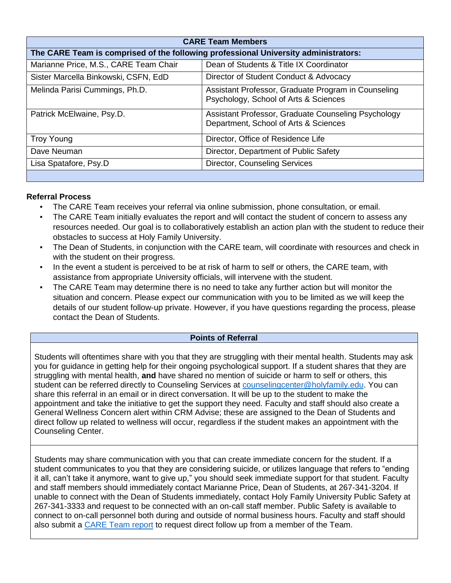| <b>CARE Team Members</b>                                                            |                                                                                              |  |
|-------------------------------------------------------------------------------------|----------------------------------------------------------------------------------------------|--|
| The CARE Team is comprised of the following professional University administrators: |                                                                                              |  |
| Marianne Price, M.S., CARE Team Chair                                               | Dean of Students & Title IX Coordinator                                                      |  |
| Sister Marcella Binkowski, CSFN, EdD                                                | Director of Student Conduct & Advocacy                                                       |  |
| Melinda Parisi Cummings, Ph.D.                                                      | Assistant Professor, Graduate Program in Counseling<br>Psychology, School of Arts & Sciences |  |
| Patrick McElwaine, Psy.D.                                                           | Assistant Professor, Graduate Counseling Psychology<br>Department, School of Arts & Sciences |  |
| <b>Troy Young</b>                                                                   | Director, Office of Residence Life                                                           |  |
| Dave Neuman                                                                         | Director, Department of Public Safety                                                        |  |
| Lisa Spatafore, Psy.D                                                               | <b>Director, Counseling Services</b>                                                         |  |
|                                                                                     |                                                                                              |  |

# **Referral Process**

- The CARE Team receives your referral via online submission, phone consultation, or email.
- The CARE Team initially evaluates the report and will contact the student of concern to assess any resources needed. Our goal is to collaboratively establish an action plan with the student to reduce their obstacles to success at Holy Family University.
- The Dean of Students, in conjunction with the CARE team, will coordinate with resources and check in with the student on their progress.
- In the event a student is perceived to be at risk of harm to self or others, the CARE team, with assistance from appropriate University officials, will intervene with the student.
- The CARE Team may determine there is no need to take any further action but will monitor the situation and concern. Please expect our communication with you to be limited as we will keep the details of our student follow-up private. However, if you have questions regarding the process, please contact the Dean of Students.

# **Points of Referral**

Students will oftentimes share with you that they are struggling with their mental health. Students may ask you for guidance in getting help for their ongoing psychological support. If a student shares that they are struggling with mental health, **and** have shared no mention of suicide or harm to self or others, this student can be referred directly to Counseling Services at [counselingcenter@holyfamily.edu.](mailto:counselingcenter@holyfamily.edu) You can share this referral in an email or in direct conversation. It will be up to the student to make the appointment and take the initiative to get the support they need. Faculty and staff should also create a General Wellness Concern alert within CRM Advise; these are assigned to the Dean of Students and direct follow up related to wellness will occur, regardless if the student makes an appointment with the Counseling Center.

Students may share communication with you that can create immediate concern for the student. If a student communicates to you that they are considering suicide, or utilizes language that refers to "ending it all, can't take it anymore, want to give up," you should seek immediate support for that student. Faculty and staff members should immediately contact Marianne Price, Dean of Students, at 267-341-3204. If unable to connect with the Dean of Students immediately, contact Holy Family University Public Safety at 267-341-3333 and request to be connected with an on-call staff member. Public Safety is available to connect to on-call personnel both during and outside of normal business hours. Faculty and staff should also submit a [CARE Team report](https://holyfamily-pa.safecollegesincident.com/#/self-report/a83bcb7b-83a8-46d1-a937-c6c2a22a8f7d) to request direct follow up from a member of the Team.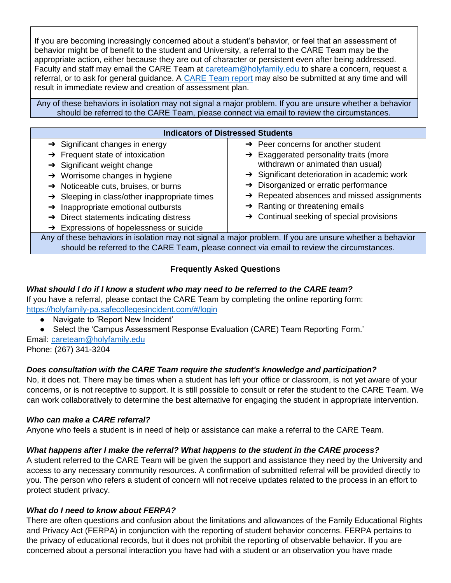If you are becoming increasingly concerned about a student's behavior, or feel that an assessment of behavior might be of benefit to the student and University, a referral to the CARE Team may be the appropriate action, either because they are out of character or persistent even after being addressed. Faculty and staff may email the CARE Team at [careteam@holyfamily.edu](mailto:careteam@holyfamily.edu) to share a concern, request a referral, or to ask for general guidance. A [CARE Team report](https://holyfamily-pa.safecollegesincident.com/#/self-report/a83bcb7b-83a8-46d1-a937-c6c2a22a8f7d) may also be submitted at any time and will result in immediate review and creation of assessment plan.

Any of these behaviors in isolation may not signal a major problem. If you are unsure whether a behavior should be referred to the CARE Team, please connect via email to review the circumstances.

| <b>Indicators of Distressed Students</b>                                                                 |                                                          |  |
|----------------------------------------------------------------------------------------------------------|----------------------------------------------------------|--|
| $\rightarrow$ Significant changes in energy                                                              | $\rightarrow$ Peer concerns for another student          |  |
| $\rightarrow$ Frequent state of intoxication                                                             | $\rightarrow$ Exaggerated personality traits (more       |  |
| $\rightarrow$ Significant weight change                                                                  | withdrawn or animated than usual)                        |  |
| $\rightarrow$ Worrisome changes in hygiene                                                               | $\rightarrow$ Significant deterioration in academic work |  |
| $\rightarrow$ Noticeable cuts, bruises, or burns                                                         | $\rightarrow$ Disorganized or erratic performance        |  |
| $\rightarrow$ Sleeping in class/other inappropriate times                                                | $\rightarrow$ Repeated absences and missed assignments   |  |
| $\rightarrow$ Inappropriate emotional outbursts                                                          | $\rightarrow$ Ranting or threatening emails              |  |
| $\rightarrow$ Direct statements indicating distress                                                      | $\rightarrow$ Continual seeking of special provisions    |  |
| $\rightarrow$ Expressions of hopelessness or suicide                                                     |                                                          |  |
| Any of these behaviors in isolation may not signal a major problem. If you are unsure whether a behavior |                                                          |  |
| should be referred to the CARE Team, please connect via email to review the circumstances.               |                                                          |  |

# **Frequently Asked Questions**

## *What should I do if I know a student who may need to be referred to the CARE team?*

If you have a referral, please contact the CARE Team by completing the online reporting form: <https://holyfamily-pa.safecollegesincident.com/#/login>

- Navigate to 'Report New Incident'
- Select the 'Campus Assessment Response Evaluation (CARE) Team Reporting Form.'

Email: [careteam@holyfamily.edu](mailto:careteam@holyfamily.edu) Phone: (267) 341-3204

# *Does consultation with the CARE Team require the student's knowledge and participation?*

No, it does not. There may be times when a student has left your office or classroom, is not yet aware of your concerns, or is not receptive to support. It is still possible to consult or refer the student to the CARE Team. We can work collaboratively to determine the best alternative for engaging the student in appropriate intervention.

### *Who can make a CARE referral?*

Anyone who feels a student is in need of help or assistance can make a referral to the CARE Team.

### *What happens after I make the referral? What happens to the student in the CARE process?*

A student referred to the CARE Team will be given the support and assistance they need by the University and access to any necessary community resources. A confirmation of submitted referral will be provided directly to you. The person who refers a student of concern will not receive updates related to the process in an effort to protect student privacy.

### *What do I need to know about FERPA?*

There are often questions and confusion about the limitations and allowances of the Family Educational Rights and Privacy Act (FERPA) in conjunction with the reporting of student behavior concerns. FERPA pertains to the privacy of educational records, but it does not prohibit the reporting of observable behavior. If you are concerned about a personal interaction you have had with a student or an observation you have made